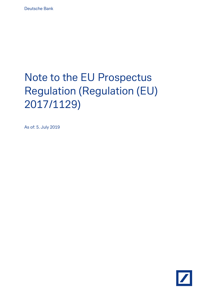# Note to the EU Prospectus Regulation (Regulation (EU) 2017/1129)

As of: 5. July 2019

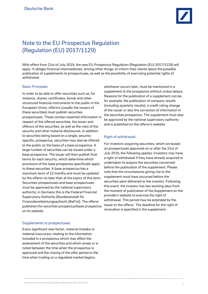

# Note to the EU Prospectus Regulation (Regulation (EU) 2017/1129)

With effect from 21st of July 2019, the new EU Prospectus Regulation (Regulation (EU) 2017/1129) will apply. It obliges financial intermediaries, among other things, to inform their clients about the possible publication of supplements to prospectuses, as well as the possibility of exercising potential rights of withdrawal.

#### Basic Principles

In order to be able to offer securities such as, for instance, shares, certificates, bonds and other structured financial instruments to the public in the European Union, offerors (usually the issuers of these securities) must publish securities prospectuses. These contain essential information in respect of the offered securities, the issuer and offerors of the securities, as well as the risks of the security and other material disclosures. In addition to securities being based on a single, securityspecific, prospectus, securities may also be offered to the public on the basis of a base prospectus. A large number of securities can be issued under a base prospectus. The issuer will then publish final terms for each security, which determine which provisions of the base prospectus specifically apply to these securities. A base prospectus has a maximum term of 12 months and must be updated by the offeror no later than at the expiry of this term. Securities prospectuses and base prospectuses must be approved by the national supervisory authority; in Germany this is the Federal Financial Supervisory Authority (Bundesanstalt für Finanzdienstleistungsaufsicht (BaFin)). The offeror publishes the securities prospectus/base prospectus on its website.

#### Supplements to prospectuses:

Every significant new factor, material mistake or material inaccuracy relating to the information included in a prospectus which may affect the assessment of the securities and which arises or is noted between the time when the prospectus is approved and the closing of the offer period or the time when trading on a regulated market begins,

whichever occurs later, must be mentioned in a supplement to the prospectus without undue delays. Reasons for the publication of a supplement can be, for example, the publication of company results (including quarterly results), a credit rating change of the issuer or also the correction of information in the securities prospectus. The supplement must also be approved by the national supervisory authority and is published on the offeror's website.

#### Right of withdrawal:

For investors acquiring securities, which are based on prospectuses approved on or after the 21st of July 2019, the following applies: Investors may have a right of withdrawal if they have already acquired or undertaken to acquire the securities concerned before the publication of the supplement. Please note that the circumstance giving rise to the supplement must have occurred before the securities were delivered to the investor. Following this event, the investor has two working days from the moment of publication of the Supplement on the provider's website to exercise the right of withdrawal. This period may be extended by the issuer or the offeror. The deadline for the right of revocation is specified in the supplement.